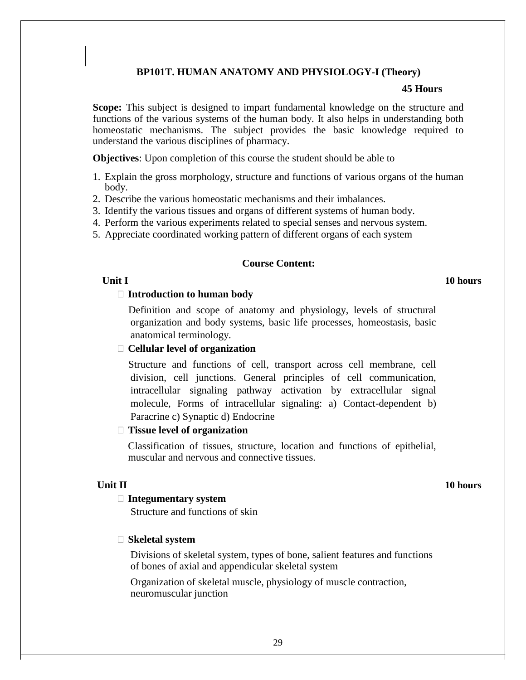# **BP101T. HUMAN ANATOMY AND PHYSIOLOGY-I (Theory)**

#### **45 Hours**

**Scope:** This subject is designed to impart fundamental knowledge on the structure and functions of the various systems of the human body. It also helps in understanding both homeostatic mechanisms. The subject provides the basic knowledge required to understand the various disciplines of pharmacy.

**Objectives**: Upon completion of this course the student should be able to

- 1. Explain the gross morphology, structure and functions of various organs of the human body.
- 2. Describe the various homeostatic mechanisms and their imbalances.
- 3. Identify the various tissues and organs of different systems of human body.
- 4. Perform the various experiments related to special senses and nervous system.
- 5. Appreciate coordinated working pattern of different organs of each system

## **Course Content:**

## **Unit I 10 hours**

#### **Introduction to human body**

Definition and scope of anatomy and physiology, levels of structural organization and body systems, basic life processes, homeostasis, basic anatomical terminology.

# **Cellular level of organization**

Structure and functions of cell, transport across cell membrane, cell division, cell junctions. General principles of cell communication, intracellular signaling pathway activation by extracellular signal molecule, Forms of intracellular signaling: a) Contact-dependent b) Paracrine c) Synaptic d) Endocrine

## **Tissue level of organization**

Classification of tissues, structure, location and functions of epithelial, muscular and nervous and connective tissues.

## **Unit II 10 hours**

#### **Integumentary system**

Structure and functions of skin

#### **Skeletal system**

Divisions of skeletal system, types of bone, salient features and functions of bones of axial and appendicular skeletal system

Organization of skeletal muscle, physiology of muscle contraction, neuromuscular junction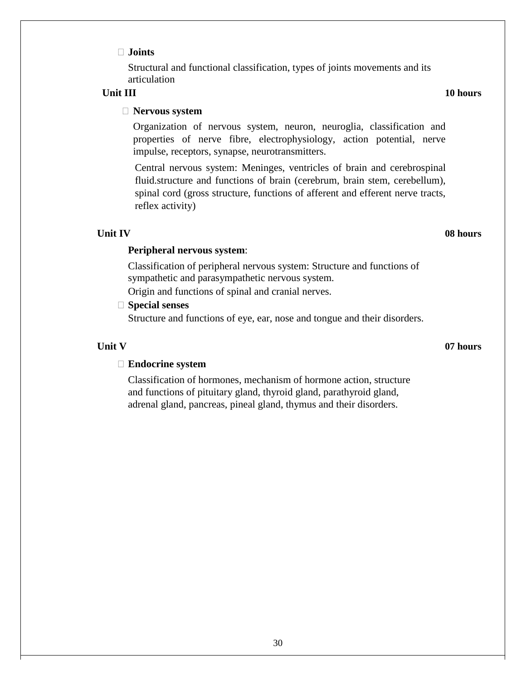## **Joints**

Structural and functional classification, types of joints movements and its articulation

#### **Unit III 10 hours**

## **Nervous system**

Organization of nervous system, neuron, neuroglia, classification and properties of nerve fibre, electrophysiology, action potential, nerve impulse, receptors, synapse, neurotransmitters.

Central nervous system: Meninges, ventricles of brain and cerebrospinal fluid.structure and functions of brain (cerebrum, brain stem, cerebellum), spinal cord (gross structure, functions of afferent and efferent nerve tracts, reflex activity)

## **Unit IV 08 hours**

## **Peripheral nervous system**:

Classification of peripheral nervous system: Structure and functions of sympathetic and parasympathetic nervous system.

Origin and functions of spinal and cranial nerves.

# **Special senses**

Structure and functions of eye, ear, nose and tongue and their disorders.

#### **Unit V 07 hours**

### **Endocrine system**

Classification of hormones, mechanism of hormone action, structure and functions of pituitary gland, thyroid gland, parathyroid gland, adrenal gland, pancreas, pineal gland, thymus and their disorders.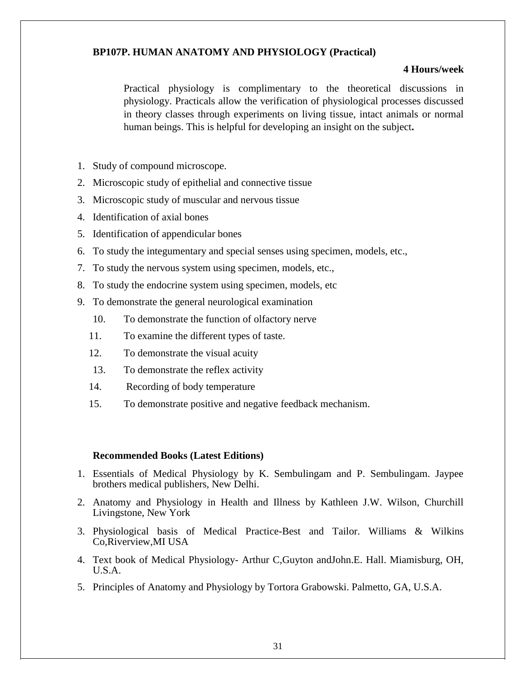# **BP107P. HUMAN ANATOMY AND PHYSIOLOGY (Practical)**

### **4 Hours/week**

Practical physiology is complimentary to the theoretical discussions in physiology. Practicals allow the verification of physiological processes discussed in theory classes through experiments on living tissue, intact animals or normal human beings. This is helpful for developing an insight on the subject**.**

- 1. Study of compound microscope.
- 2. Microscopic study of epithelial and connective tissue
- 3. Microscopic study of muscular and nervous tissue
- 4. Identification of axial bones
- 5. Identification of appendicular bones
- 6. To study the integumentary and special senses using specimen, models, etc.,
- 7. To study the nervous system using specimen, models, etc.,
- 8. To study the endocrine system using specimen, models, etc
- 9. To demonstrate the general neurological examination
	- 10. To demonstrate the function of olfactory nerve
	- 11. To examine the different types of taste.
	- 12. To demonstrate the visual acuity
	- 13. To demonstrate the reflex activity
	- 14. Recording of body temperature
	- 15. To demonstrate positive and negative feedback mechanism.

## **Recommended Books (Latest Editions)**

- 1. Essentials of Medical Physiology by K. Sembulingam and P. Sembulingam. Jaypee brothers medical publishers, New Delhi.
- 2. Anatomy and Physiology in Health and Illness by Kathleen J.W. Wilson, Churchill Livingstone, New York
- 3. Physiological basis of Medical Practice-Best and Tailor. Williams & Wilkins Co,Riverview,MI USA
- 4. Text book of Medical Physiology- Arthur C,Guyton andJohn.E. Hall. Miamisburg, OH, U.S.A.
- 5. Principles of Anatomy and Physiology by Tortora Grabowski. Palmetto, GA, U.S.A.